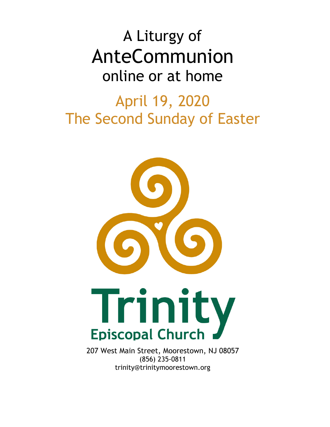# A Liturgy of AnteCommunion online or at home

## April 19, 2020 The Second Sunday of Easter



207 West Main Street, Moorestown, NJ 08057 (856) 235-0811 trinity@trinitymoorestown.org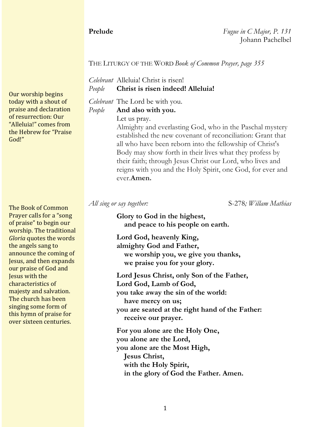**Prelude** *Fugue in C Major, P. 131* Johann Pachelbel

#### THE LITURGY OF THE WORD *Book of Common Prayer, page 355*

*Celebrant* Alleluia! Christ is risen! *People* **Christ is risen indeed! Alleluia!**

*Celebrant* The Lord be with you. *People* **And also with you.**

Let us pray.

Almighty and everlasting God, who in the Paschal mystery established the new covenant of reconciliation: Grant that all who have been reborn into the fellowship of Christ's Body may show forth in their lives what they profess by their faith; through Jesus Christ our Lord, who lives and reigns with you and the Holy Spirit, one God, for ever and ever.**Amen.**

*All sing or say together:* S-278*; Willam Mathias*

**Glory to God in the highest, and peace to his people on earth.**

**Lord God, heavenly King, almighty God and Father, we worship you, we give you thanks, we praise you for your glory.**

**Lord Jesus Christ, only Son of the Father, Lord God, Lamb of God, you take away the sin of the world: have mercy on us; you are seated at the right hand of the Father: receive our prayer.**

**For you alone are the Holy One, you alone are the Lord, you alone are the Most High, Jesus Christ, with the Holy Spirit, in the glory of God the Father. Amen.**

Our worship begins today with a shout of praise and declaration of resurrection: Our "Alleluia!" comes from the Hebrew for "Praise" God!"

The Book of Common Prayer calls for a "song" of praise" to begin our worship. The traditional *Gloria* quotes the words the angels sang to announce the coming of Jesus, and then expands our praise of God and **Jesus** with the characteristics of majesty and salvation. The church has been singing some form of this hymn of praise for over sixteen centuries.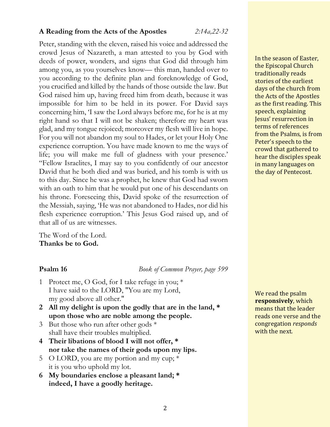#### **A Reading from the Acts of the Apostles** *2:14a,22-32*

Peter, standing with the eleven, raised his voice and addressed the crowd Jesus of Nazareth, a man attested to you by God with deeds of power, wonders, and signs that God did through him among you, as you yourselves know— this man, handed over to you according to the definite plan and foreknowledge of God, you crucified and killed by the hands of those outside the law. But God raised him up, having freed him from death, because it was impossible for him to be held in its power. For David says concerning him, 'I saw the Lord always before me, for he is at my right hand so that I will not be shaken; therefore my heart was glad, and my tongue rejoiced; moreover my flesh will live in hope. For you will not abandon my soul to Hades, or let your Holy One experience corruption. You have made known to me the ways of life; you will make me full of gladness with your presence.' "Fellow Israelites, I may say to you confidently of our ancestor David that he both died and was buried, and his tomb is with us to this day. Since he was a prophet, he knew that God had sworn with an oath to him that he would put one of his descendants on his throne. Foreseeing this, David spoke of the resurrection of the Messiah, saying, 'He was not abandoned to Hades, nor did his flesh experience corruption.' This Jesus God raised up, and of that all of us are witnesses.

The Word of the Lord. **Thanks be to God.**

**Psalm 16** *Book of Common Prayer, page 599*

- 1 Protect me, O God, for I take refuge in you; \* I have said to the LORD, "You are my Lord, my good above all other."
- **2 All my delight is upon the godly that are in the land, \* upon those who are noble among the people.**
- 3 But those who run after other gods \* shall have their troubles multiplied.
- **4 Their libations of blood I will not offer, \* nor take the names of their gods upon my lips.**
- 5 O LORD, you are my portion and my cup;  $*$ it is you who uphold my lot.
- **6 My boundaries enclose a pleasant land; \* indeed, I have a goodly heritage.**

In the season of Easter, the Episcopal Church traditionally reads stories of the earliest days of the church from the Acts of the Apostles as the first reading. This speech, explaining Jesus' resurrection in terms of references from the Psalms, is from Peter's speech to the crowd that gathered to hear the disciples speak in many languages on the day of Pentecost.

We read the psalm **responsively**, which means that the leader reads one verse and the congregation *responds* with the next.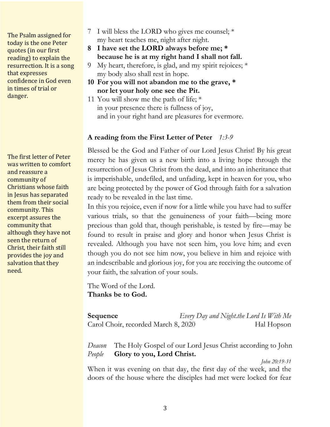The Psalm assigned for today is the one Peter quotes (in our first reading) to explain the resurrection. It is a song that expresses confidence in God even in times of trial or danger.

The first letter of Peter was written to comfort and reassure a community of Christians whose faith in Jesus has separated them from their social community. This excerpt assures the community that although they have not seen the return of Christ, their faith still provides the joy and salvation that they need.

- 7 I will bless the LORD who gives me counsel; \* my heart teaches me, night after night.
- **8 I have set the LORD always before me; \* because he is at my right hand I shall not fall.**
- 9 My heart, therefore, is glad, and my spirit rejoices; \* my body also shall rest in hope.
- **10 For you will not abandon me to the grave, \* nor let your holy one see the Pit.**
- 11 You will show me the path of life; \* in your presence there is fullness of joy, and in your right hand are pleasures for evermore.

### **A reading from the First Letter of Peter** *1:3-9*

Blessed be the God and Father of our Lord Jesus Christ! By his great mercy he has given us a new birth into a living hope through the resurrection of Jesus Christ from the dead, and into an inheritance that is imperishable, undefiled, and unfading, kept in heaven for you, who are being protected by the power of God through faith for a salvation ready to be revealed in the last time.

In this you rejoice, even if now for a little while you have had to suffer various trials, so that the genuineness of your faith—being more precious than gold that, though perishable, is tested by fire—may be found to result in praise and glory and honor when Jesus Christ is revealed. Although you have not seen him, you love him; and even though you do not see him now, you believe in him and rejoice with an indescribable and glorious joy, for you are receiving the outcome of your faith, the salvation of your souls.

The Word of the Lord. **Thanks be to God.**

| Sequence                            | Every Day and Night.the Lord Is With Me |            |
|-------------------------------------|-----------------------------------------|------------|
| Carol Choir, recorded March 8, 2020 |                                         | Hal Hopson |

*Deacon* The Holy Gospel of our Lord Jesus Christ according to John *People* **Glory to you, Lord Christ.**

*John 20:19-31*

When it was evening on that day, the first day of the week, and the doors of the house where the disciples had met were locked for fear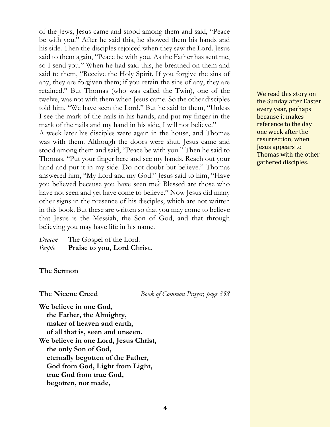of the Jews, Jesus came and stood among them and said, "Peace be with you." After he said this, he showed them his hands and his side. Then the disciples rejoiced when they saw the Lord. Jesus said to them again, "Peace be with you. As the Father has sent me, so I send you." When he had said this, he breathed on them and said to them, "Receive the Holy Spirit. If you forgive the sins of any, they are forgiven them; if you retain the sins of any, they are retained." But Thomas (who was called the Twin), one of the twelve, was not with them when Jesus came. So the other disciples told him, "We have seen the Lord." But he said to them, "Unless I see the mark of the nails in his hands, and put my finger in the mark of the nails and my hand in his side, I will not believe."

A week later his disciples were again in the house, and Thomas was with them. Although the doors were shut, Jesus came and stood among them and said, "Peace be with you." Then he said to Thomas, "Put your finger here and see my hands. Reach out your hand and put it in my side. Do not doubt but believe." Thomas answered him, "My Lord and my God!" Jesus said to him, "Have you believed because you have seen me? Blessed are those who have not seen and yet have come to believe." Now Jesus did many other signs in the presence of his disciples, which are not written in this book. But these are written so that you may come to believe that Jesus is the Messiah, the Son of God, and that through believing you may have life in his name.

| Deacon | The Gospel of the Lord.     |
|--------|-----------------------------|
| People | Praise to you, Lord Christ. |

#### **The Sermon**

**The Nicene Creed** *Book of Common Prayer, page 358*

**We believe in one God, the Father, the Almighty, maker of heaven and earth, of all that is, seen and unseen. We believe in one Lord, Jesus Christ, the only Son of God, eternally begotten of the Father, God from God, Light from Light, true God from true God, begotten, not made,**

We read this story on the Sunday after Easter every year, perhaps because it makes reference to the day one week after the resurrection, when Jesus appears to Thomas with the other gathered disciples.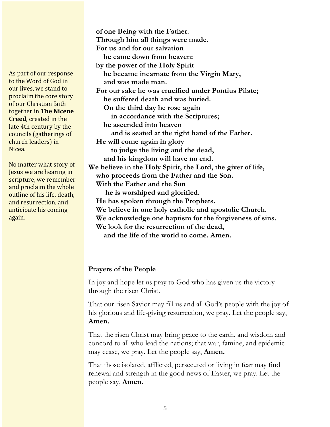As part of our response to the Word of God in our lives, we stand to proclaim the core story of our Christian faith **together in The Nicene Creed**, created in the late 4th century by the councils (gatherings of church leaders) in Nicea. 

No matter what story of **Jesus** we are hearing in scripture, we remember and proclaim the whole outline of his life, death, and resurrection, and anticipate his coming again.

 **of one Being with the Father. Through him all things were made. For us and for our salvation he came down from heaven: by the power of the Holy Spirit he became incarnate from the Virgin Mary, and was made man. For our sake he was crucified under Pontius Pilate; he suffered death and was buried. On the third day he rose again in accordance with the Scriptures; he ascended into heaven and is seated at the right hand of the Father. He will come again in glory to judge the living and the dead, and his kingdom will have no end. We believe in the Holy Spirit, the Lord, the giver of life, who proceeds from the Father and the Son. With the Father and the Son he is worshiped and glorified. He has spoken through the Prophets. We believe in one holy catholic and apostolic Church. We acknowledge one baptism for the forgiveness of sins. We look for the resurrection of the dead, and the life of the world to come. Amen.**

### **Prayers of the People**

In joy and hope let us pray to God who has given us the victory through the risen Christ.

That our risen Savior may fill us and all God's people with the joy of his glorious and life-giving resurrection, we pray. Let the people say, **Amen.**

That the risen Christ may bring peace to the earth, and wisdom and concord to all who lead the nations; that war, famine, and epidemic may cease, we pray. Let the people say, **Amen.**

That those isolated, afflicted, persecuted or living in fear may find renewal and strength in the good news of Easter, we pray. Let the people say, **Amen.**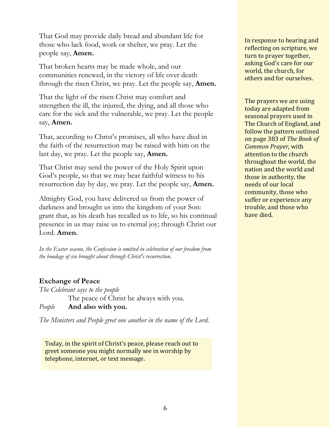That God may provide daily bread and abundant life for those who lack food, work or shelter, we pray. Let the people say, **Amen.**

That broken hearts may be made whole, and our communities renewed, in the victory of life over death through the risen Christ, we pray. Let the people say, **Amen.**

That the light of the risen Christ may comfort and strengthen the ill, the injured, the dying, and all those who care for the sick and the vulnerable, we pray. Let the people say, **Amen.**

That, according to Christ's promises, all who have died in the faith of the resurrection may be raised with him on the last day, we pray. Let the people say, **Amen.**

That Christ may send the power of the Holy Spirit upon God's people, so that we may bear faithful witness to his resurrection day by day, we pray. Let the people say, **Amen.**

Almighty God, you have delivered us from the power of darkness and brought us into the kingdom of your Son: grant that, as his death has recalled us to life, so his continual presence in us may raise us to eternal joy; through Christ our Lord. **Amen.**

*In the Easter season, the Confession is omitted in celebration of our freedom from the bondage of sin brought about through Christ's resurrection.*

### **Exchange of Peace**

*The Celebrant says to the people* The peace of Christ be always with you. *People* **And also with you.**

*The Ministers and People greet one another in the name of the Lord.*

Today, in the spirit of Christ's peace, please reach out to greet someone you might normally see in worship by telephone, internet, or text message.

In response to hearing and reflecting on scripture, we turn to prayer together, asking God's care for our world, the church, for others and for ourselves.

The prayers we are using today are adapted from seasonal prayers used in The Church of England, and follow the pattern outlined on page 383 of *The Book of Common Prayer,* with attention to the church throughout the world, the nation and the world and those in authority, the needs of our local community, those who suffer or experience any trouble, and those who have died.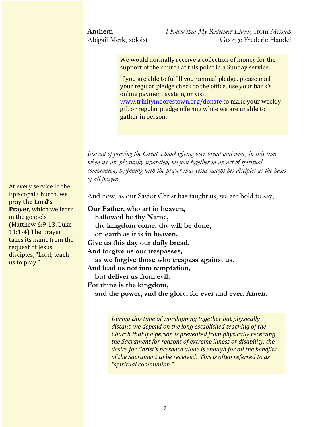**Anthem** *I Know that My Redeemer Liveth,* from *Messiah* Abigail Merk, soloist George Frederic Handel

> We would normally receive a collection of money for the support of the church at this point in a Sunday service.

If you are able to fulfill your annual pledge, please mail your regular pledge check to the office, use your bank's online payment system, or visit www.trinitymoorestown.org/donate to make your weekly gift or regular pledge offering while we are unable to gather in person.

*Instead of praying the Great Thanksgiving over bread and wine, in this time when we are physically separated, we join together in an act of spiritual communion, beginning with the prayer that Jesus taught his disciples as the basis of all prayer.*

And now, as our Savior Christ has taught us, we are bold to say,

**Our Father, who art in heaven, hallowed be thy Name, thy kingdom come, thy will be done, on earth as it is in heaven. Give us this day our daily bread. And forgive us our trespasses, as we forgive those who trespass against us. And lead us not into temptation, but deliver us from evil. For thine is the kingdom, and the power, and the glory, for ever and ever. Amen.**

> *During this time of worshipping together but physically* distant, we depend on the long established teaching of the *Church that if a person is prevented from physically receiving the Sacrament for reasons of extreme illness or disability, the desire for Christ's presence alone is enough for all the benefits* of the Sacrament to be received. This is often referred to as *"spiritual communion."*

At every service in the Episcopal Church, we pray the Lord's **Prayer**, which we learn in the gospels (Matthew  $6:9-13$ , Luke  $11:1-4$ ) The prayer takes its name from the request of Jesus' disciples, "Lord, teach us to pray."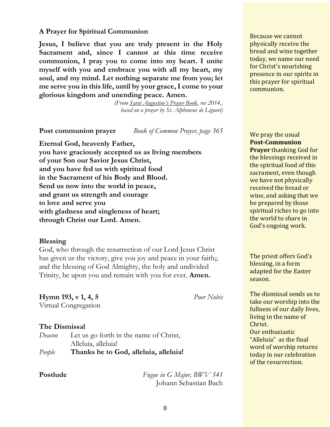#### **A Prayer for Spiritual Communion**

**Jesus, I believe that you are truly present in the Holy Sacrament and, since I cannot at this time receive communion, I pray you to come into my heart. I unite myself with you and embrace you with all my heart, my soul, and my mind. Let nothing separate me from you; let me serve you in this life, until by your grace, I come to your glorious kingdom and unending peace. Amen.**

> *(From Saint Augustine's Prayer Book, rev 2014., based on a prayer by St. Alphonsus de Liguori)*

**Post communion prayer** *Book of Common Prayer, page 365*

**Eternal God, heavenly Father, you have graciously accepted us as living members of your Son our Savior Jesus Christ, and you have fed us with spiritual food in the Sacrament of his Body and Blood. Send us now into the world in peace, and grant us strength and courage to love and serve you with gladness and singleness of heart; through Christ our Lord. Amen.**

#### **Blessing**

God, who through the resurrection of our Lord Jesus Christ has given us the victory, give you joy and peace in your faith;; and the blessing of God Almighty, the holy and undivided Trinity, be upon you and remain with you for ever. **Amen.**

**Hymn 193, v 1, 4, 5** *Puer Nobis* Virtual Congregation

## **The Dismissal**

| Deacon | Let us go forth in the name of Christ, |
|--------|----------------------------------------|
|        | Alleluia, alleluia!                    |
| People | Thanks be to God, alleluia, alleluia!  |

**Postlude** *Fugue in G Major, BWV 541* Johann Sebastian Bach Because we cannot physically receive the bread and wine together today, we name our need for Christ's nourishing presence in our spirits in this prayer for spiritual communion.

We pray the usual **Post-Communion Prayer** thanking God for the blessings received in the spiritual food of this sacrament, even though we have not physically received the bread or wine, and asking that we be prepared by those spiritual riches to go into the world to share in God's ongoing work.

The priest offers God's blessing, in a form adapted for the Easter season. 

The dismissal sends us to take our worship into the fullness of our daily lives, living in the name of Christ. Our enthusiastic "Alleluia" as the final

word of worship returns today in our celebration of the resurrection.